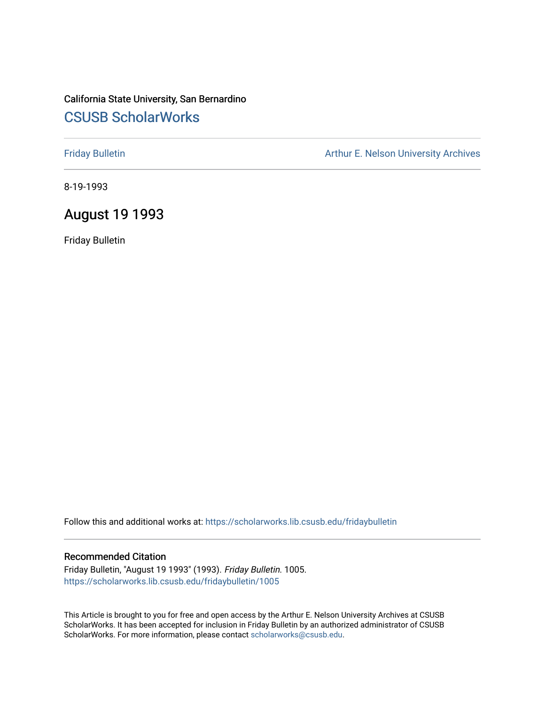#### California State University, San Bernardino [CSUSB ScholarWorks](https://scholarworks.lib.csusb.edu/)

[Friday Bulletin](https://scholarworks.lib.csusb.edu/fridaybulletin) **Arthur E. Nelson University Archives** Arthur E. Nelson University Archives

8-19-1993

#### August 19 1993

Friday Bulletin

Follow this and additional works at: [https://scholarworks.lib.csusb.edu/fridaybulletin](https://scholarworks.lib.csusb.edu/fridaybulletin?utm_source=scholarworks.lib.csusb.edu%2Ffridaybulletin%2F1005&utm_medium=PDF&utm_campaign=PDFCoverPages)

#### Recommended Citation

Friday Bulletin, "August 19 1993" (1993). Friday Bulletin. 1005. [https://scholarworks.lib.csusb.edu/fridaybulletin/1005](https://scholarworks.lib.csusb.edu/fridaybulletin/1005?utm_source=scholarworks.lib.csusb.edu%2Ffridaybulletin%2F1005&utm_medium=PDF&utm_campaign=PDFCoverPages) 

This Article is brought to you for free and open access by the Arthur E. Nelson University Archives at CSUSB ScholarWorks. It has been accepted for inclusion in Friday Bulletin by an authorized administrator of CSUSB ScholarWorks. For more information, please contact [scholarworks@csusb.edu.](mailto:scholarworks@csusb.edu)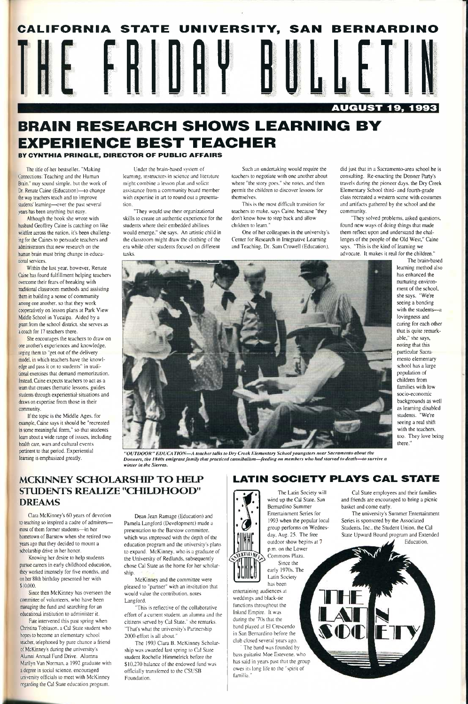

The title of her bestseller. "Making Connections; Teaching and the Human Brain." may sound simple, but the work of Dr. Renate Caine (Education)—to change the way teachers teach and to improve students' learning—over the past several years has been anything but easy.

## **EXPERIENCE BEST TEACHER**  BY CYNTHIA PRINGLE, DIRECTOR OF PUBLIC AFFAIRS

Within the last year, however. Renate Caine has found fulfillment helping teachers overcome their fears of breaking with traditional classroom methods and assisting them in building a sense of community among one another, so that they work cooperatively on lesson plans at Park View Middle School in Yucaipa. Aided by a grant from the school district, she serves as a coach for 17 teachers there.

Although the book she wrote with husband Geoffrey Caine is catching on like wildfire across the nation, it's been challenging for the Caines to persuade teachers and administrators that new research on the human brain must bring change in educational services.

She encourages the teachers to draw on one another's experiences and knowledge, urging them to "get out of the delivery model, in which teachers have the knowledge and pass it on to students" in traditional exercises that demand memorization. Instead, Caine expects teachers to act as a team that creates thematic lessons, guides students through experiential situations and draws on expertise from those in their community,

If the topic is the Middle Ages, for example, Caine says it should be "recreated in some meaningful form," so that students leam about a wide range of issues, including health care, wars and cultural events pertinent to that period. Experiential learning is emphasized greatly.

Under the brain-based system of leaming. instructors in science and literature might combine a lesson plan and solicit assistance from a community board member with expertise in art to round out a presentation.

"They would use their organizational skills to create an authentic experience for the students where their embedded abilities would emerge," she says. An artistic child in the classroom might draw the clothing of the era while other students focused on different tasks.

Such an undertaking would require the teachers to negotiate with one another about where "the story goes." she notes, and then permit the children to discover lessons for themselves.

This is the most difficult transition for teachers to make, says Caine. because "they don't know how to step back and allow children to learn."

One of her colleagues in the university's Center for Research in Integrative Learning and Teaching. Dr. Sam Crowell (Education). did just that in a Sacramento-area school he is consulting. Re-enacting the Donner Party's travels during the pioneer days, the Dry Creek Elementary School third- and fourth-grade class recreated a western scene with costumes and artifacts gathered by the school and the community.

The 1993 Clara B. McKinney Scholarship was awarded last spring to Cal State student Rochelle Himmelrick before the \$10,270 balance of the endowed fund was officially transferred to the CSUSB Foundation.

"They solved problems, asked questions, found new ways of doing things that made them reflect upon and understand the challenges of the people of the Old West," Caine says. "This is the kind of leaming we advocate. It makes it real for the children."



The brain-based leaming method also has enhanced the nurturing environment of the school,

she says. "We're seeing a bonding with the students--- a lovingness and caring for each other that is quite remarkable," she says, noting that this particular Sacra mento elementary school has a large population of children from families with low socio-economic backgrounds as well as leaming disabled students. "We're seeing a real shift with the teachers, too. They love being there."

*"OUTDOOR" EDUCATION—A teacher talks to Dry Creek Elementary School youngsters near Sacramento about the Donners, the 1840s emigrant family that practiced cannibalism—feeding on members who had starved to death—to survive a winter in the Sierras.* 

#### **MCKINNEY SCHOLARSHIP TO HELP STUDENTS REALIZE "CHILDHOOD" DREAMS**

Clara McKinney's 60 years of devotion to teaching so inspired a cadre of admirers—

most of them former students—in her hometown of Barsiow when she retired two years ago that they decided to mount a scholarship drive in her honor.

Knowing her desire to help students pursue careers in early childhood education, they worked intensely for five months, and on her 88th birthday presented her with \$10,000.

Since then McKinney has overseen the committee of volunteers, who have been managing the fund and searching for an educational institution to administer it.

Fate intervened this past spring when Christina Tobiason. a Cal Slate student who hopes to become an elementary school teacher, telephoned by pure chance a friend of McKinney's during the university's Alumni Annual Fund Drive. Alumna Marilyn Van Norman, a 1992 graduate with a degree in social science, encouraged university officials to meet with McKinney regarding the Cal State education program.

Dean Jean Ramage (Education) and Pamela Langford (Development) made a

presentation to the Barstow committee, which was impressed with the depth of the education program and the university's plans to expand. McKinney. who is a graduate of the University of Redlands, subsequently chose Cal State as the home for her scholarship.

McKinney and the committee were pleased to "partner" with an institution that would value the contribution, notes Langford.

"This is reflective of the collaborative effort of a current student, an alumna and the citizens served by Cal State." she remarks. "That's what the university's Partnership 2000 effort is all about."

#### **LATIN SOCIETY PLAYS CAL STATE**



The Latin Society will wind up the Cal State. San Bernardino Summer Entertainment Series for 1993 when the popular local group performs on Wednesday, Aug. 25. The free outdoor show begins at 7 p.m. on the Lower Commons Plaza. Since the early 1970s. The Latin Society has been entertaining audiences at weddings and black-tie functions throughout the Inland Empire. It was during the '7()s that the band played at El Crescendo in San Bernardino before the club closed several years ago. The band was founded by bass guitarist Moe Estevene. who has said in years past that the group owes its long life to the "spirit of familia."

Cal State employees and their families and friends are encouraged to bring a picnic basket and come early.

The university's Summer Entertainment Series is sponsored by the Associated Students, Inc.. the Student Union, the Cal State Upward Bound program and Extended Education.